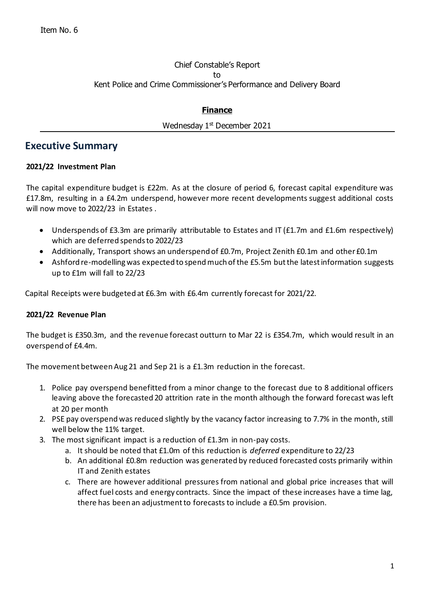### Chief Constable's Report to Kent Police and Crime Commissioner's Performance and Delivery Board

## **Finance**

#### Wednesday 1<sup>st</sup> December 2021

# **Executive Summary**

#### **2021/22 Investment Plan**

The capital expenditure budget is £22m. As at the closure of period 6, forecast capital expenditure was £17.8m, resulting in a £4.2m underspend, however more recent developments suggest additional costs will now move to 2022/23 in Estates .

- Underspends of £3.3m are primarily attributable to Estates and IT (£1.7m and £1.6m respectively) which are deferred spends to 2022/23
- Additionally, Transport shows an underspend of £0.7m, Project Zenith £0.1m and other £0.1m
- Ashford re-modelling was expected to spend much of the £5.5m but the latest information suggests up to £1m will fall to 22/23

Capital Receipts were budgeted at £6.3m with £6.4m currently forecast for 2021/22.

### **2021/22 Revenue Plan**

The budget is £350.3m, and the revenue forecast outturn to Mar 22 is £354.7m, which would result in an overspend of £4.4m.

The movement between Aug 21 and Sep 21 is a £1.3m reduction in the forecast.

- 1. Police pay overspend benefitted from a minor change to the forecast due to 8 additional officers leaving above the forecasted 20 attrition rate in the month although the forward forecast was left at 20 per month
- 2. PSE pay overspend was reduced slightly by the vacancy factor increasing to 7.7% in the month, still well below the 11% target.
- 3. The most significant impact is a reduction of £1.3m in non-pay costs.
	- a. It should be noted that £1.0m of this reduction is *deferred* expenditure to 22/23
	- b. An additional £0.8m reduction was generated by reduced forecasted costs primarily within IT and Zenith estates
	- c. There are however additional pressures from national and global price increases that will affect fuel costs and energy contracts. Since the impact of these increases have a time lag, there has been an adjustment to forecasts to include a £0.5m provision.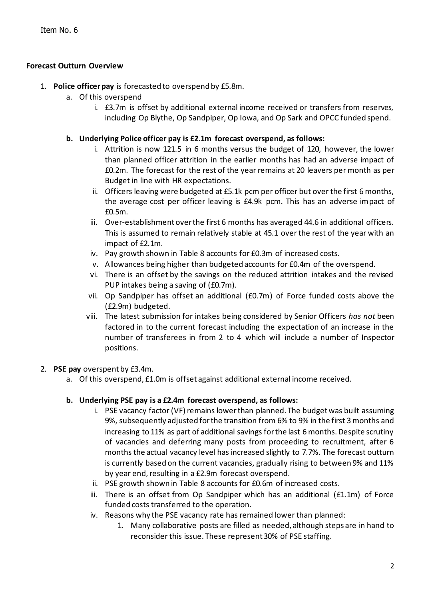### **Forecast Outturn Overview**

- 1. **Police officer pay** is forecasted to overspend by £5.8m.
	- a. Of this overspend
		- i. £3.7m is offset by additional external income received or transfers from reserves, including Op Blythe, Op Sandpiper, Op Iowa, and Op Sark and OPCC funded spend.
	- **b. Underlying Police officer pay is £2.1m forecast overspend, as follows:**
		- i. Attrition is now 121.5 in 6 months versus the budget of 120, however, the lower than planned officer attrition in the earlier months has had an adverse impact of £0.2m. The forecast for the rest of the year remains at 20 leavers per month as per Budget in line with HR expectations.
		- ii. Officers leaving were budgeted at £5.1k pcm per officer but over the first 6 months, the average cost per officer leaving is £4.9k pcm. This has an adverse impact of £0.5m.
		- iii. Over-establishment over the first 6 months has averaged 44.6 in additional officers. This is assumed to remain relatively stable at 45.1 over the rest of the year with an impact of £2.1m.
		- iv. Pay growth shown in Table 8 accounts for £0.3m of increased costs.
		- v. Allowances being higher than budgeted accounts for £0.4m of the overspend.
		- vi. There is an offset by the savings on the reduced attrition intakes and the revised PUP intakes being a saving of (£0.7m).
		- vii. Op Sandpiper has offset an additional (£0.7m) of Force funded costs above the (£2.9m) budgeted.
		- viii. The latest submission for intakes being considered by Senior Officers *has not* been factored in to the current forecast including the expectation of an increase in the number of transferees in from 2 to 4 which will include a number of Inspector positions.

### 2. **PSE pay** overspent by £3.4m.

a. Of this overspend, £1.0m is offset against additional external income received.

### **b. Underlying PSE pay is a £2.4m forecast overspend, as follows:**

- i. PSE vacancy factor (VF) remains lower than planned. The budget was built assuming 9%, subsequently adjusted for the transition from 6% to 9% in the first 3 months and increasing to 11% as part of additional savings for the last 6 months. Despite scrutiny of vacancies and deferring many posts from proceeding to recruitment, after 6 months the actual vacancy level has increased slightly to 7.7%. The forecast outturn is currently based on the current vacancies, gradually rising to between 9% and 11% by year end, resulting in a £2.9m forecast overspend.
- ii. PSE growth shown in Table 8 accounts for £0.6m of increased costs.
- iii. There is an offset from Op Sandpiper which has an additional (£1.1m) of Force funded costs transferred to the operation.
- iv. Reasons why the PSE vacancy rate has remained lower than planned:
	- 1. Many collaborative posts are filled as needed, although steps are in hand to reconsider this issue. These represent 30% of PSE staffing.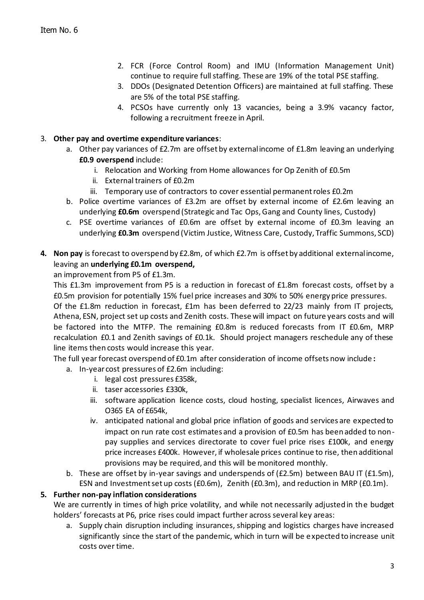- 2. FCR (Force Control Room) and IMU (Information Management Unit) continue to require full staffing. These are 19% of the total PSE staffing.
- 3. DDOs (Designated Detention Officers) are maintained at full staffing. These are 5% of the total PSE staffing.
- 4. PCSOs have currently only 13 vacancies, being a 3.9% vacancy factor, following a recruitment freeze in April.

#### 3. **Other pay and overtime expenditure variances**:

- a. Other pay variances of £2.7m are offset by external income of £1.8m leaving an underlying **£0.9 overspend** include:
	- i. Relocation and Working from Home allowances for Op Zenith of £0.5m
	- ii. External trainers of £0.2m
	- iii. Temporary use of contractors to cover essential permanent roles £0.2m
- b. Police overtime variances of £3.2m are offset by external income of £2.6m leaving an underlying **£0.6m** overspend (Strategic and Tac Ops, Gang and County lines, Custody)
- c. PSE overtime variances of £0.6m are offset by external income of £0.3m leaving an underlying **£0.3m** overspend (Victim Justice, Witness Care, Custody, Traffic Summons, SCD)
- **4. Non pay** is forecast to overspend by £2.8m, of which £2.7m is offset by additional external income, leaving an **underlying £0.1m overspend,**

an improvement from P5 of £1.3m.

This £1.3m improvement from P5 is a reduction in forecast of £1.8m forecast costs, offset by a £0.5m provision for potentially 15% fuel price increases and 30% to 50% energy price pressures. Of the £1.8m reduction in forecast, £1m has been deferred to 22/23 mainly from IT projects, Athena, ESN, project set up costs and Zenith costs. These will impact on future years costs and will be factored into the MTFP. The remaining £0.8m is reduced forecasts from IT £0.6m, MRP recalculation £0.1 and Zenith savings of £0.1k. Should project managers reschedule any of these line items then costs would increase this year.

The full year forecast overspend of £0.1m after consideration of income offsets now include **:**

- a. In-year cost pressures of £2.6m including:
	- i. legal cost pressures £358k,
	- ii. taser accessories £330k,
	- iii. software application licence costs, cloud hosting, specialist licences, Airwaves and O365 EA of £654k,
	- iv. anticipated national and global price inflation of goods and services are expected to impact on run rate cost estimates and a provision of £0.5m has been added to nonpay supplies and services directorate to cover fuel price rises £100k, and energy price increases £400k. However, if wholesale prices continue to rise, then additional provisions may be required, and this will be monitored monthly.
- b. These are offset by in-year savings and underspends of  $(E2.5m)$  between BAU IT  $(E1.5m)$ , ESN and Investment set up costs (£0.6m), Zenith (£0.3m), and reduction in MRP (£0.1m).

### **5. Further non-pay inflation considerations**

We are currently in times of high price volatility, and while not necessarily adjusted in the budget holders' forecasts at P6, price rises could impact further across several key areas:

a. Supply chain disruption including insurances, shipping and logistics charges have increased significantly since the start of the pandemic, which in turn will be expected to increase unit costs over time.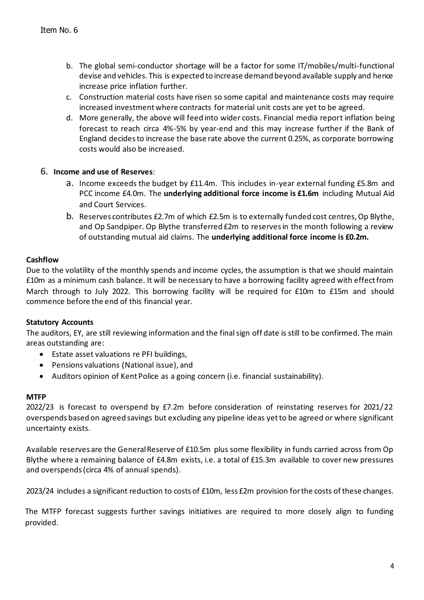- b. The global semi-conductor shortage will be a factor for some IT/mobiles/multi-functional devise and vehicles. This is expected to increase demand beyond available supply and hence increase price inflation further.
- c. Construction material costs have risen so some capital and maintenance costs may require increased investment where contracts for material unit costs are yet to be agreed.
- d. More generally, the above will feed into wider costs. Financial media report inflation being forecast to reach circa 4%-5% by year-end and this may increase further if the Bank of England decides to increase the base rate above the current 0.25%, as corporate borrowing costs would also be increased.

### 6. **Income and use of Reserves**:

- a. Income exceeds the budget by £11.4m. This includes in-year external funding £5.8m and PCC income £4.0m. The **underlying additional force income is £1.6m** including Mutual Aid and Court Services.
- b. Reserves contributes £2.7m of which £2.5m is to externally funded cost centres, Op Blythe, and Op Sandpiper. Op Blythe transferred £2m to reserves in the month following a review of outstanding mutual aid claims. The **underlying additional force income is £0.2m.**

## **Cashflow**

Due to the volatility of the monthly spends and income cycles, the assumption is that we should maintain £10m as a minimum cash balance. It will be necessary to have a borrowing facility agreed with effect from March through to July 2022. This borrowing facility will be required for £10m to £15m and should commence before the end of this financial year.

### **Statutory Accounts**

The auditors, EY, are still reviewing information and the final sign off date is still to be confirmed. The main areas outstanding are:

- Estate asset valuations re PFI buildings,
- Pensions valuations (National issue), and
- Auditors opinion of Kent Police as a going concern (i.e. financial sustainability).

### **MTFP**

2022/23 is forecast to overspend by £7.2m before consideration of reinstating reserves for 2021/22 overspends based on agreed savings but excluding any pipeline ideas yet to be agreed or where significant uncertainty exists.

Available reserves are the General Reserve of £10.5m plus some flexibility in funds carried across from Op Blythe where a remaining balance of £4.8m exists, i.e. a total of £15.3m available to cover new pressures and overspends (circa 4% of annual spends).

2023/24 includes a significant reduction to costs of £10m, less £2m provision for the costs of these changes.

The MTFP forecast suggests further savings initiatives are required to more closely align to funding provided.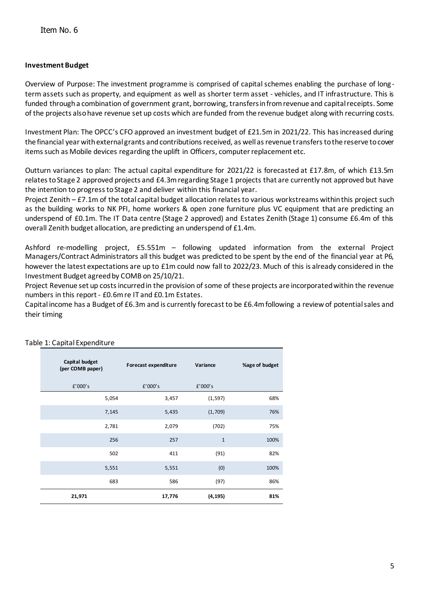#### **Investment Budget**

Overview of Purpose: The investment programme is comprised of capital schemes enabling the purchase of longterm assets such as property, and equipment as well as shorter term asset - vehicles, and IT infrastructure. This is funded through a combination of government grant, borrowing, transfers in from revenue and capital receipts. Some of the projects also have revenue set up costs which are funded from the revenue budget along with recurring costs.

Investment Plan: The OPCC's CFO approved an investment budget of £21.5m in 2021/22. This has increased during the financial year with external grants and contributions received, as well as revenue transfers to the reserve to cover items such as Mobile devices regarding the uplift in Officers, computer replacement etc.

Outturn variances to plan: The actual capital expenditure for 2021/22 is forecasted at £17.8m, of which £13.5m relates to Stage 2 approved projects and £4.3m regarding Stage 1 projects that are currently not approved but have the intention to progress to Stage 2 and deliver within this financial year.

Project Zenith – £7.1m of the total capital budget allocation relates to various workstreams within this project such as the building works to NK PFI, home workers & open zone furniture plus VC equipment that are predicting an underspend of £0.1m. The IT Data centre (Stage 2 approved) and Estates Zenith (Stage 1) consume £6.4m of this overall Zenith budget allocation, are predicting an underspend of £1.4m.

Ashford re-modelling project, £5.551m – following updated information from the external Project Managers/Contract Administrators all this budget was predicted to be spent by the end of the financial year at P6, however the latest expectations are up to £1m could now fall to 2022/23. Much of this is already considered in the Investment Budget agreed by COMB on 25/10/21.

Project Revenue set up costs incurred in the provision of some of these projects are incorporated within the revenue numbers in this report - £0.6m re IT and £0.1m Estates.

Capital income has a Budget of £6.3m and is currently forecast to be £6.4m following a review of potential sales and their timing

| Capital budget<br>(per COMB paper) | Forecast expenditure | Variance    | %age of budget |
|------------------------------------|----------------------|-------------|----------------|
| £'000's                            | f'000's              | f'000's     |                |
| 5,054                              | 3,457                | (1, 597)    | 68%            |
| 7,145                              | 5,435                | (1,709)     | 76%            |
| 2,781                              | 2,079                | (702)       | 75%            |
| 256                                | 257                  | $\mathbf 1$ | 100%           |
| 502                                | 411                  | (91)        | 82%            |
| 5,551                              | 5,551                | (0)         | 100%           |
| 683                                | 586                  | (97)        | 86%            |
| 21,971                             | 17,776               | (4, 195)    | 81%            |

#### Table 1: Capital Expenditure